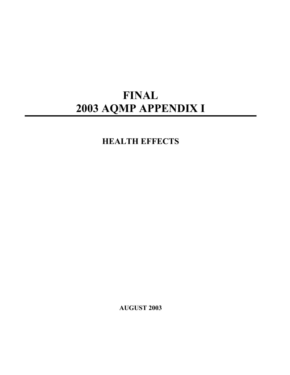# **FINAL 2003 AQMP APPENDIX I**

**HEALTH EFFECTS** 

**AUGUST 2003**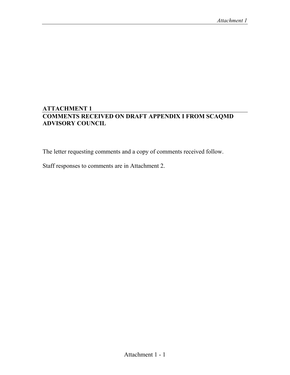# **ATTACHMENT 1 COMMENTS RECEIVED ON DRAFT APPENDIX I FROM SCAQMD ADVISORY COUNCIL**

The letter requesting comments and a copy of comments received follow.

Staff responses to comments are in Attachment 2.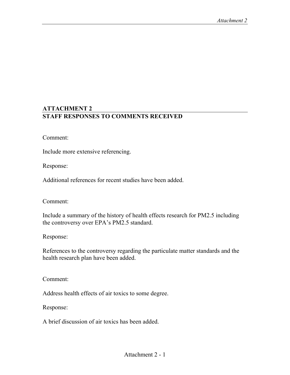## **ATTACHMENT 2 STAFF RESPONSES TO COMMENTS RECEIVED**

Comment:

Include more extensive referencing.

Response:

Additional references for recent studies have been added.

Comment:

Include a summary of the history of health effects research for PM2.5 including the controversy over EPA's PM2.5 standard.

Response:

References to the controversy regarding the particulate matter standards and the health research plan have been added.

Comment:

Address health effects of air toxics to some degree.

Response:

A brief discussion of air toxics has been added.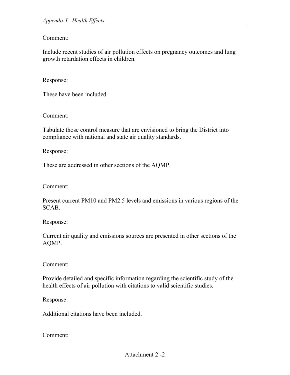## Comment:

Include recent studies of air pollution effects on pregnancy outcomes and lung growth retardation effects in children.

#### Response:

These have been included.

Comment:

Tabulate those control measure that are envisioned to bring the District into compliance with national and state air quality standards.

Response:

These are addressed in other sections of the AQMP.

Comment:

Present current PM10 and PM2.5 levels and emissions in various regions of the SCAB.

Response:

Current air quality and emissions sources are presented in other sections of the AQMP.

Comment:

Provide detailed and specific information regarding the scientific study of the health effects of air pollution with citations to valid scientific studies.

Response:

Additional citations have been included.

Comment: